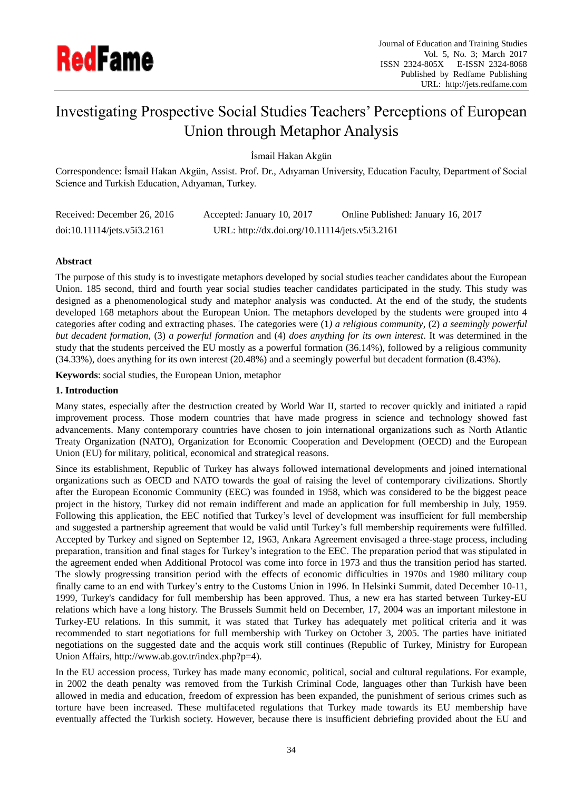

# Investigating Prospective Social Studies Teachers" Perceptions of European Union through Metaphor Analysis

İsmail Hakan Akgün

Correspondence: İsmail Hakan Akgün, Assist. Prof. Dr., Adıyaman University, Education Faculty, Department of Social Science and Turkish Education, Adıyaman, Turkey.

| Received: December 26, 2016 | Accepted: January 10, 2017                     | Online Published: January 16, 2017 |
|-----------------------------|------------------------------------------------|------------------------------------|
| doi:10.11114/jets.v5i3.2161 | URL: http://dx.doi.org/10.11114/jets.v5i3.2161 |                                    |

# **Abstract**

The purpose of this study is to investigate metaphors developed by social studies teacher candidates about the European Union. 185 second, third and fourth year social studies teacher candidates participated in the study. This study was designed as a phenomenological study and matephor analysis was conducted. At the end of the study, the students developed 168 metaphors about the European Union. The metaphors developed by the students were grouped into 4 categories after coding and extracting phases. The categories were (1*) a religious community*, (2) *a seemingly powerful but decadent formation*, (3) *a powerful formation* and (4) *does anything for its own interest*. It was determined in the study that the students perceived the EU mostly as a powerful formation (36.14%), followed by a religious community (34.33%), does anything for its own interest (20.48%) and a seemingly powerful but decadent formation (8.43%).

**Keywords**: social studies, the European Union, metaphor

# **1. Introduction**

Many states, especially after the destruction created by World War II, started to recover quickly and initiated a rapid improvement process. Those modern countries that have made progress in science and technology showed fast advancements. Many contemporary countries have chosen to join international organizations such as North Atlantic Treaty Organization (NATO), Organization for Economic Cooperation and Development (OECD) and the European Union (EU) for military, political, economical and strategical reasons.

Since its establishment, Republic of Turkey has always followed international developments and joined international organizations such as OECD and NATO towards the goal of raising the level of contemporary civilizations. Shortly after the European Economic Community (EEC) was founded in 1958, which was considered to be the biggest peace project in the history, Turkey did not remain indifferent and made an application for full membership in July, 1959. Following this application, the EEC notified that Turkey"s level of development was insufficient for full membership and suggested a partnership agreement that would be valid until Turkey"s full membership requirements were fulfilled. Accepted by Turkey and signed on September 12, 1963, Ankara Agreement envisaged a three-stage process, including preparation, transition and final stages for Turkey"s integration to the EEC. The preparation period that was stipulated in the agreement ended when Additional Protocol was come into force in 1973 and thus the transition period has started. The slowly progressing transition period with the effects of economic difficulties in 1970s and 1980 military coup finally came to an end with Turkey"s entry to the Customs Union in 1996. In Helsinki Summit, dated December 10-11, 1999, Turkey's candidacy for full membership has been approved. Thus, a new era has started between Turkey-EU relations which have a long history. The Brussels Summit held on December, 17, 2004 was an important milestone in Turkey-EU relations. In this summit, it was stated that Turkey has adequately met political criteria and it was recommended to start negotiations for full membership with Turkey on October 3, 2005. The parties have initiated negotiations on the suggested date and the acquis work still continues (Republic of Turkey, Ministry for European Union Affairs, http://www.ab.gov.tr/index.php?p=4).

In the EU accession process, Turkey has made many economic, political, social and cultural regulations. For example, in 2002 the death penalty was removed from the Turkish Criminal Code, languages other than Turkish have been allowed in media and education, freedom of expression has been expanded, the punishment of serious crimes such as torture have been increased. These multifaceted regulations that Turkey made towards its EU membership have eventually affected the Turkish society. However, because there is insufficient debriefing provided about the EU and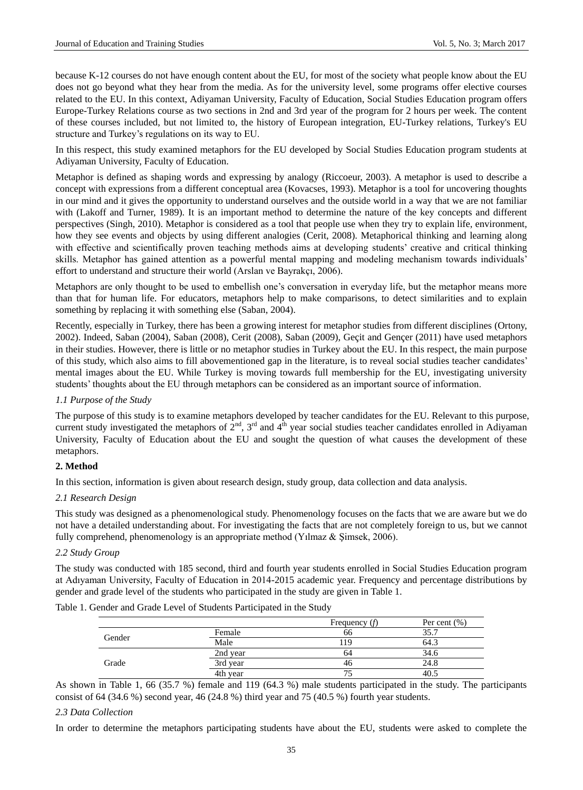because K-12 courses do not have enough content about the EU, for most of the society what people know about the EU does not go beyond what they hear from the media. As for the university level, some programs offer elective courses related to the EU. In this context, Adiyaman University, Faculty of Education, Social Studies Education program offers Europe-Turkey Relations course as two sections in 2nd and 3rd year of the program for 2 hours per week. The content of these courses included, but not limited to, the history of European integration, EU-Turkey relations, Turkey's EU structure and Turkey"s regulations on its way to EU.

In this respect, this study examined metaphors for the EU developed by Social Studies Education program students at Adiyaman University, Faculty of Education.

Metaphor is defined as shaping words and expressing by analogy (Riccoeur, 2003). A metaphor is used to describe a concept with expressions from a different conceptual area (Kovacses, 1993). Metaphor is a tool for uncovering thoughts in our mind and it gives the opportunity to understand ourselves and the outside world in a way that we are not familiar with (Lakoff and Turner, 1989). It is an important method to determine the nature of the key concepts and different perspectives (Singh, 2010). Metaphor is considered as a tool that people use when they try to explain life, environment, how they see events and objects by using different analogies (Cerit, 2008). Metaphorical thinking and learning along with effective and scientifically proven teaching methods aims at developing students' creative and critical thinking skills. Metaphor has gained attention as a powerful mental mapping and modeling mechanism towards individuals" effort to understand and structure their world (Arslan ve Bayrakçı, 2006).

Metaphors are only thought to be used to embellish one"s conversation in everyday life, but the metaphor means more than that for human life. For educators, metaphors help to make comparisons, to detect similarities and to explain something by replacing it with something else (Saban, 2004).

Recently, especially in Turkey, there has been a growing interest for metaphor studies from different disciplines (Ortony, 2002). Indeed, Saban (2004), Saban (2008), Cerit (2008), Saban (2009), Geçit and Gençer (2011) have used metaphors in their studies. However, there is little or no metaphor studies in Turkey about the EU. In this respect, the main purpose of this study, which also aims to fill abovementioned gap in the literature, is to reveal social studies teacher candidates" mental images about the EU. While Turkey is moving towards full membership for the EU, investigating university students" thoughts about the EU through metaphors can be considered as an important source of information.

# *1.1 Purpose of the Study*

The purpose of this study is to examine metaphors developed by teacher candidates for the EU. Relevant to this purpose, current study investigated the metaphors of  $2<sup>nd</sup>$ ,  $3<sup>rd</sup>$  and  $4<sup>th</sup>$  year social studies teacher candidates enrolled in Adiyaman University, Faculty of Education about the EU and sought the question of what causes the development of these metaphors.

# **2. Method**

In this section, information is given about research design, study group, data collection and data analysis.

# *2.1 Research Design*

This study was designed as a phenomenological study. Phenomenology focuses on the facts that we are aware but we do not have a detailed understanding about. For investigating the facts that are not completely foreign to us, but we cannot fully comprehend, phenomenology is an appropriate method (Yilmaz & Şimsek, 2006).

# *2.2 Study Group*

The study was conducted with 185 second, third and fourth year students enrolled in Social Studies Education program at Adıyaman University, Faculty of Education in 2014-2015 academic year. Frequency and percentage distributions by gender and grade level of the students who participated in the study are given in Table 1.

Table 1. Gender and Grade Level of Students Participated in the Study

|        |          | Frequency $(f)$ | Per cent $(\% )$ |
|--------|----------|-----------------|------------------|
|        | Female   | 66              | 35.7             |
| Gender | Male     | 19              | 64.3             |
| Grade  | 2nd year | 64              | 34.6             |
|        | 3rd year | 46              | 24.8             |
|        | 4th year |                 | 40.5             |

As shown in Table 1, 66 (35.7 %) female and 119 (64.3 %) male students participated in the study. The participants consist of 64 (34.6 %) second year, 46 (24.8 %) third year and 75 (40.5 %) fourth year students.

#### *2.3 Data Collection*

In order to determine the metaphors participating students have about the EU, students were asked to complete the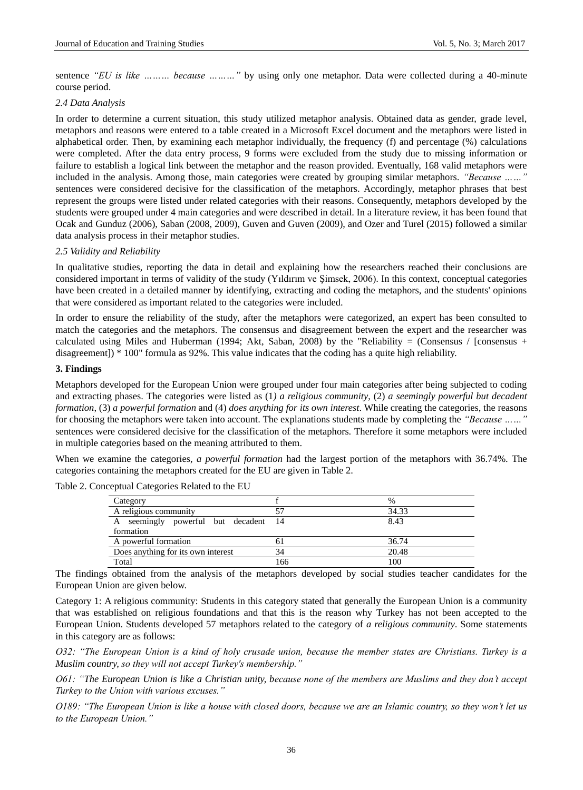sentence *"EU is like ……… because ………"* by using only one metaphor. Data were collected during a 40-minute course period.

#### *2.4 Data Analysis*

In order to determine a current situation, this study utilized metaphor analysis. Obtained data as gender, grade level, metaphors and reasons were entered to a table created in a Microsoft Excel document and the metaphors were listed in alphabetical order. Then, by examining each metaphor individually, the frequency (f) and percentage (%) calculations were completed. After the data entry process, 9 forms were excluded from the study due to missing information or failure to establish a logical link between the metaphor and the reason provided. Eventually, 168 valid metaphors were included in the analysis. Among those, main categories were created by grouping similar metaphors. *"Because ……"*  sentences were considered decisive for the classification of the metaphors. Accordingly, metaphor phrases that best represent the groups were listed under related categories with their reasons. Consequently, metaphors developed by the students were grouped under 4 main categories and were described in detail. In a literature review, it has been found that Ocak and Gunduz (2006), Saban (2008, 2009), Guven and Guven (2009), and Ozer and Turel (2015) followed a similar data analysis process in their metaphor studies.

#### *2.5 Validity and Reliability*

In qualitative studies, reporting the data in detail and explaining how the researchers reached their conclusions are considered important in terms of validity of the study (Yıldırım ve Şimsek, 2006). In this context, conceptual categories have been created in a detailed manner by identifying, extracting and coding the metaphors, and the students' opinions that were considered as important related to the categories were included.

In order to ensure the reliability of the study, after the metaphors were categorized, an expert has been consulted to match the categories and the metaphors. The consensus and disagreement between the expert and the researcher was calculated using Miles and Huberman (1994; Akt, Saban, 2008) by the "Reliability = (Consensus / [consensus + disagreement]) \* 100" formula as 92%. This value indicates that the coding has a quite high reliability.

#### **3. Findings**

Metaphors developed for the European Union were grouped under four main categories after being subjected to coding and extracting phases. The categories were listed as (1*) a religious community*, (2) *a seemingly powerful but decadent formation*, (3) *a powerful formation* and (4) *does anything for its own interest*. While creating the categories, the reasons for choosing the metaphors were taken into account. The explanations students made by completing the *"Because ……"*  sentences were considered decisive for the classification of the metaphors. Therefore it some metaphors were included in multiple categories based on the meaning attributed to them.

When we examine the categories, *a powerful formation* had the largest portion of the metaphors with 36.74%. The categories containing the metaphors created for the EU are given in Table 2.

| Category                             |     | %     |
|--------------------------------------|-----|-------|
| A religious community                |     | 34.33 |
| A seemingly powerful but decadent 14 |     | 8.43  |
| formation                            |     |       |
| A powerful formation                 | 61  | 36.74 |
| Does anything for its own interest   | 34  | 20.48 |
| Total                                | 166 | 100   |

Table 2. Conceptual Categories Related to the EU

The findings obtained from the analysis of the metaphors developed by social studies teacher candidates for the European Union are given below.

Category 1: A religious community: Students in this category stated that generally the European Union is a community that was established on religious foundations and that this is the reason why Turkey has not been accepted to the European Union. Students developed 57 metaphors related to the category of *a religious community*. Some statements in this category are as follows:

*O32: "The European Union is a kind of holy crusade union, because the member states are Christians. Turkey is a Muslim country, so they will not accept Turkey's membership."*

*O61: "The European Union is like a Christian unity, because none of the members are Muslims and they don't accept Turkey to the Union with various excuses."*

*O189: "The European Union is like a house with closed doors, because we are an Islamic country, so they won't let us to the European Union."*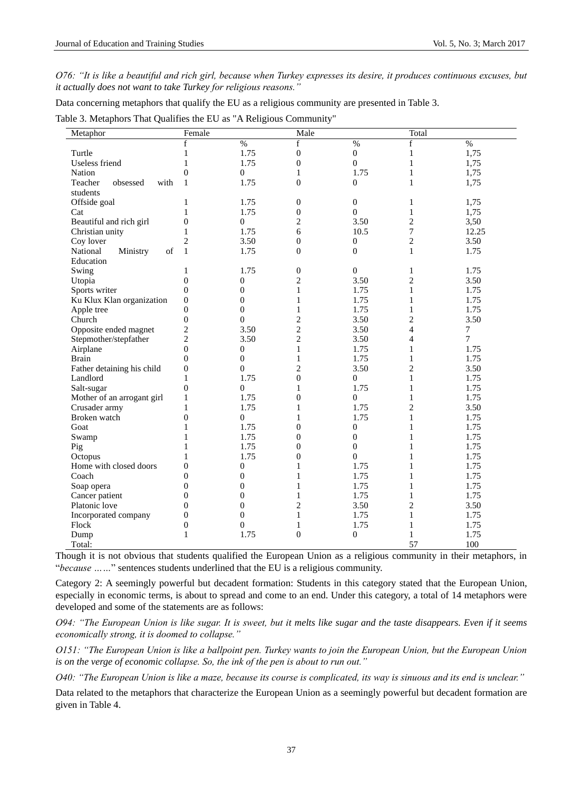*O76: "It is like a beautiful and rich girl, because when Turkey expresses its desire, it produces continuous excuses, but it actually does not want to take Turkey for religious reasons."*

Data concerning metaphors that qualify the EU as a religious community are presented in Table 3.

|  | Table 3. Metaphors That Qualifies the EU as "A Religious Community" |  |  |
|--|---------------------------------------------------------------------|--|--|
|  |                                                                     |  |  |

| Metaphor                    | Female           |                  | Male             |                  | Total          |        |
|-----------------------------|------------------|------------------|------------------|------------------|----------------|--------|
|                             | f                | $\%$             | f                | $\%$             | $\mathbf f$    | $\%$   |
| Turtle                      | $\mathbf{1}$     | 1.75             | $\boldsymbol{0}$ | $\boldsymbol{0}$ | $\mathbf{1}$   | 1,75   |
| Useless friend              | $\mathbf{1}$     | 1.75             | $\boldsymbol{0}$ | $\overline{0}$   | 1              | 1,75   |
| Nation                      | $\overline{0}$   | $\boldsymbol{0}$ | $\mathbf{1}$     | 1.75             | $\mathbf{1}$   | 1,75   |
| Teacher<br>obsessed<br>with | $\mathbf{1}$     | 1.75             | $\boldsymbol{0}$ | $\boldsymbol{0}$ | $\mathbf{1}$   | 1,75   |
| students                    |                  |                  |                  |                  |                |        |
| Offside goal                | 1                | 1.75             | $\boldsymbol{0}$ | $\boldsymbol{0}$ | 1              | 1,75   |
| Cat                         | $\mathbf{1}$     | 1.75             | $\boldsymbol{0}$ | $\mathbf{0}$     | $\mathbf{1}$   | 1,75   |
| Beautiful and rich girl     | $\overline{0}$   | $\overline{0}$   | $\overline{c}$   | 3.50             | $\mathbf{2}$   | 3,50   |
| Christian unity             | $\mathbf{1}$     | 1.75             | 6                | 10.5             | $\overline{7}$ | 12.25  |
| Coy lover                   | $\overline{2}$   | 3.50             | $\overline{0}$   | $\mathbf{0}$     | $\mathbf{2}$   | 3.50   |
| Ministry<br>of<br>National  | $\mathbf{1}$     | 1.75             | $\overline{0}$   | $\mathbf{0}$     | $\mathbf{1}$   | 1.75   |
| Education                   |                  |                  |                  |                  |                |        |
| Swing                       | 1                | 1.75             | $\boldsymbol{0}$ | $\boldsymbol{0}$ | 1              | 1.75   |
| Utopia                      | $\boldsymbol{0}$ | $\boldsymbol{0}$ | $\overline{c}$   | 3.50             | $\mathbf{2}$   | 3.50   |
| Sports writer               | $\boldsymbol{0}$ | $\boldsymbol{0}$ | $\mathbf{1}$     | 1.75             | $\mathbf{1}$   | 1.75   |
| Ku Klux Klan organization   | $\boldsymbol{0}$ | $\boldsymbol{0}$ | 1                | 1.75             | 1              | 1.75   |
| Apple tree                  | $\boldsymbol{0}$ | $\overline{0}$   | 1                | 1.75             | 1              | 1.75   |
| Church                      | $\boldsymbol{0}$ | $\overline{0}$   | $\overline{c}$   | 3.50             | $\mathbf{2}$   | 3.50   |
| Opposite ended magnet       | $\overline{c}$   | 3.50             | $\overline{c}$   | 3.50             | $\overline{4}$ | $\tau$ |
| Stepmother/stepfather       | $\overline{2}$   | 3.50             | $\overline{c}$   | 3.50             | $\overline{4}$ | $\tau$ |
| Airplane                    | $\overline{0}$   | $\theta$         | 1                | 1.75             | 1              | 1.75   |
| <b>Brain</b>                | $\boldsymbol{0}$ | $\boldsymbol{0}$ | $\mathbf{1}$     | 1.75             | $\mathbf{1}$   | 1.75   |
| Father detaining his child  | $\boldsymbol{0}$ | $\overline{0}$   | 2                | 3.50             | $\overline{2}$ | 3.50   |
| Landlord                    | $\mathbf{1}$     | 1.75             | $\overline{0}$   | $\mathbf{0}$     | 1              | 1.75   |
| Salt-sugar                  | $\boldsymbol{0}$ | $\boldsymbol{0}$ | $\mathbf{1}$     | 1.75             | 1              | 1.75   |
| Mother of an arrogant girl  | $\mathbf{1}$     | 1.75             | $\boldsymbol{0}$ | $\boldsymbol{0}$ | 1              | 1.75   |
| Crusader army               | 1                | 1.75             | 1                | 1.75             | $\overline{c}$ | 3.50   |
| Broken watch                | $\boldsymbol{0}$ | $\boldsymbol{0}$ | 1                | 1.75             | $\mathbf{1}$   | 1.75   |
| Goat                        | 1                | 1.75             | $\boldsymbol{0}$ | $\boldsymbol{0}$ | 1              | 1.75   |
| Swamp                       | 1                | 1.75             | $\overline{0}$   | $\boldsymbol{0}$ | 1              | 1.75   |
| Pig                         | 1                | 1.75             | $\overline{0}$   | $\boldsymbol{0}$ | 1              | 1.75   |
| Octopus                     | 1                | 1.75             | $\overline{0}$   | $\mathbf{0}$     | 1              | 1.75   |
| Home with closed doors      | $\boldsymbol{0}$ | $\overline{0}$   | 1                | 1.75             | 1              | 1.75   |
| Coach                       | $\overline{0}$   | $\overline{0}$   | 1                | 1.75             | 1              | 1.75   |
| Soap opera                  | $\theta$         | $\overline{0}$   | 1                | 1.75             | 1              | 1.75   |
| Cancer patient              | $\overline{0}$   | $\overline{0}$   | 1                | 1.75             | 1              | 1.75   |
| Platonic love               | $\overline{0}$   | $\overline{0}$   | $\overline{c}$   | 3.50             | $\overline{2}$ | 3.50   |
| Incorporated company        | $\overline{0}$   | $\boldsymbol{0}$ | 1                | 1.75             | 1              | 1.75   |
| Flock                       | $\boldsymbol{0}$ | $\overline{0}$   | 1                | 1.75             | 1              | 1.75   |
| Dump                        | $\mathbf{1}$     | 1.75             | $\boldsymbol{0}$ | $\boldsymbol{0}$ | 1              | 1.75   |
| Total:                      |                  |                  |                  |                  | 57             | 100    |

Though it is not obvious that students qualified the European Union as a religious community in their metaphors, in "*because ……*" sentences students underlined that the EU is a religious community.

Category 2: A seemingly powerful but decadent formation: Students in this category stated that the European Union, especially in economic terms, is about to spread and come to an end. Under this category, a total of 14 metaphors were developed and some of the statements are as follows:

*O94: "The European Union is like sugar. It is sweet, but it melts like sugar and the taste disappears. Even if it seems economically strong, it is doomed to collapse."*

*O151: "The European Union is like a ballpoint pen. Turkey wants to join the European Union, but the European Union is on the verge of economic collapse. So, the ink of the pen is about to run out."*

*O40: "The European Union is like a maze, because its course is complicated, its way is sinuous and its end is unclear."*

Data related to the metaphors that characterize the European Union as a seemingly powerful but decadent formation are given in Table 4.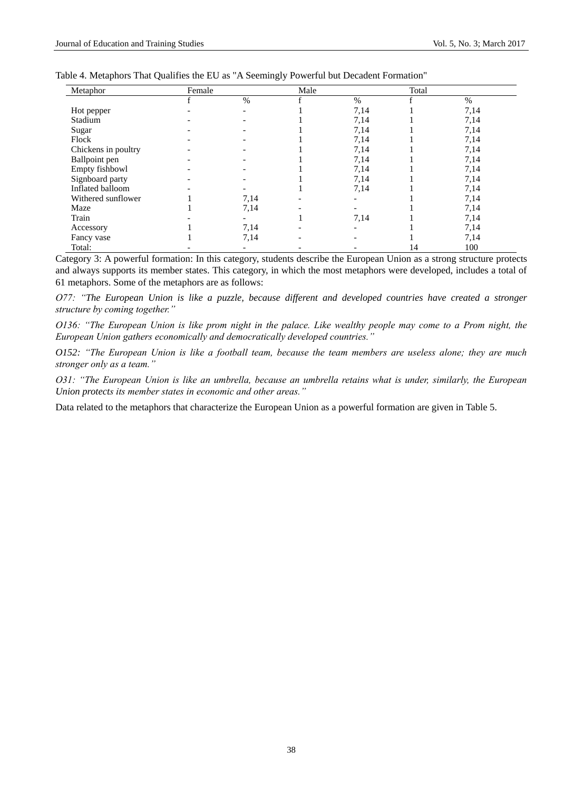| Metaphor            | Female |      | Male |      | Total |      |
|---------------------|--------|------|------|------|-------|------|
|                     |        | $\%$ |      | $\%$ |       | $\%$ |
| Hot pepper          |        |      |      | 7,14 |       | 7,14 |
| Stadium             |        |      |      | 7,14 |       | 7,14 |
| Sugar               |        |      |      | 7,14 |       | 7,14 |
| Flock               |        |      |      | 7,14 |       | 7,14 |
| Chickens in poultry |        |      |      | 7,14 |       | 7,14 |
| Ballpoint pen       |        |      |      | 7,14 |       | 7,14 |
| Empty fishbowl      |        |      |      | 7,14 |       | 7,14 |
| Signboard party     |        |      |      | 7,14 |       | 7,14 |
| Inflated balloom    |        |      |      | 7,14 |       | 7,14 |
| Withered sunflower  |        | 7,14 |      |      |       | 7,14 |
| Maze                |        | 7,14 |      |      |       | 7,14 |
| Train               |        |      |      | 7,14 |       | 7,14 |
| Accessory           |        | 7,14 |      |      |       | 7,14 |
| Fancy vase          |        | 7,14 |      |      |       | 7,14 |
| Total:              |        |      |      |      | 14    | 100  |

Category 3: A powerful formation: In this category, students describe the European Union as a strong structure protects and always supports its member states. This category, in which the most metaphors were developed, includes a total of 61 metaphors. Some of the metaphors are as follows:

*O77: "The European Union is like a puzzle, because different and developed countries have created a stronger structure by coming together."*

*O136: "The European Union is like prom night in the palace. Like wealthy people may come to a Prom night, the European Union gathers economically and democratically developed countries."*

*O152: "The European Union is like a football team, because the team members are useless alone; they are much stronger only as a team."*

*O31: "The European Union is like an umbrella, because an umbrella retains what is under, similarly, the European Union protects its member states in economic and other areas."*

Data related to the metaphors that characterize the European Union as a powerful formation are given in Table 5.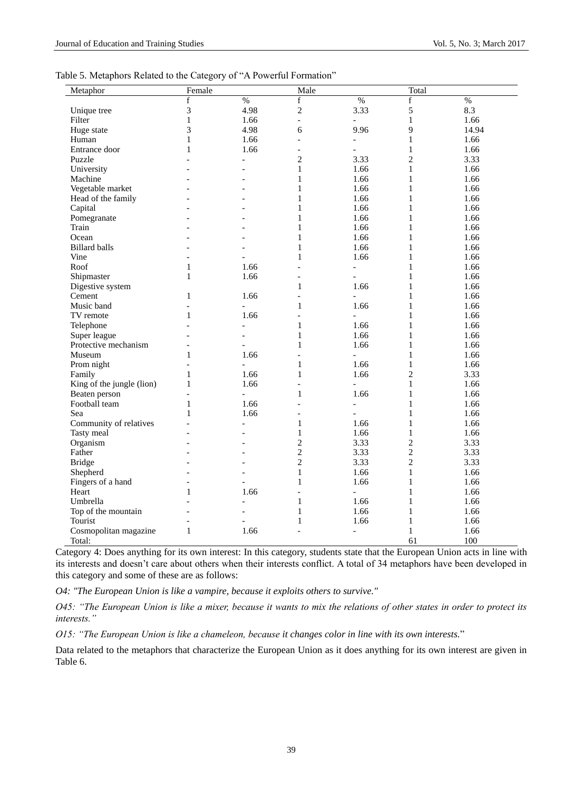| Table 5. Metaphors Related to the Category of "A Powerful Formation" |  |  |
|----------------------------------------------------------------------|--|--|
|                                                                      |  |  |

| Metaphor                  | Female         |                          | Male                     |                          | Total          |       |
|---------------------------|----------------|--------------------------|--------------------------|--------------------------|----------------|-------|
|                           | $\mathbf f$    | $\%$                     | $\mathbf f$              | %                        | $\mathbf f$    | $\%$  |
| Unique tree               | 3              | 4.98                     | $\sqrt{2}$               | 3.33                     | 5              | 8.3   |
| Filter                    | $\mathbf{1}$   | 1.66                     | $\overline{a}$           | $\overline{a}$           | $\mathbf{1}$   | 1.66  |
| Huge state                | 3              | 4.98                     | 6                        | 9.96                     | 9              | 14.94 |
| Human                     | $\mathbf{1}$   | 1.66                     | $\overline{a}$           | $\overline{\phantom{a}}$ | $\mathbf{1}$   | 1.66  |
| Entrance door             | $\mathbf{1}$   | 1.66                     | $\overline{a}$           | $\overline{a}$           | $\mathbf{1}$   | 1.66  |
| Puzzle                    |                | $\overline{\phantom{a}}$ | $\overline{2}$           | 3.33                     | $\overline{c}$ | 3.33  |
| University                |                | $\overline{a}$           | $\mathbf{1}$             | 1.66                     | $\mathbf{1}$   | 1.66  |
| Machine                   |                | $\overline{a}$           | $\mathbf{1}$             | 1.66                     | $\mathbf{1}$   | 1.66  |
| Vegetable market          |                |                          | $\mathbf{1}$             | 1.66                     | $\mathbf{1}$   | 1.66  |
| Head of the family        |                | $\overline{a}$           | $\mathbf{1}$             | 1.66                     | $\mathbf{1}$   | 1.66  |
| Capital                   |                |                          | $\mathbf{1}$             | 1.66                     | $\mathbf{1}$   | 1.66  |
| Pomegranate               |                |                          | $\mathbf{1}$             | 1.66                     | $\mathbf{1}$   | 1.66  |
| Train                     | $\overline{a}$ | $\overline{a}$           | $\mathbf{1}$             | 1.66                     | $\mathbf{1}$   | 1.66  |
| Ocean                     |                |                          | $\mathbf{1}$             | 1.66                     | $\mathbf{1}$   | 1.66  |
| <b>Billard balls</b>      |                |                          | 1                        | 1.66                     | $\mathbf{1}$   | 1.66  |
| Vine                      | $\overline{a}$ | $\overline{a}$           | $\mathbf{1}$             | 1.66                     | $\mathbf{1}$   | 1.66  |
| Roof                      | 1              | 1.66                     | $\overline{a}$           | $\frac{1}{2}$            | $\mathbf{1}$   | 1.66  |
| Shipmaster                | $\mathbf{1}$   | 1.66                     | $\overline{a}$           | $\overline{a}$           | $\mathbf{1}$   | 1.66  |
| Digestive system          |                |                          | $\mathbf{1}$             | 1.66                     | $\mathbf{1}$   | 1.66  |
| Cement                    | $\mathbf{1}$   | 1.66                     |                          | $\overline{a}$           | $\mathbf{1}$   | 1.66  |
| Music band                | $\overline{a}$ | $\overline{a}$           | $\mathbf{1}$             | 1.66                     | $\mathbf{1}$   | 1.66  |
| TV remote                 | $\mathbf{1}$   | 1.66                     | $\overline{a}$           | $\overline{a}$           | $\mathbf{1}$   | 1.66  |
| Telephone                 | $\overline{a}$ | $\overline{\phantom{a}}$ | $\mathbf{1}$             | 1.66                     | $\mathbf{1}$   | 1.66  |
| Super league              |                | $\overline{a}$           | $\mathbf{1}$             | 1.66                     | $\mathbf{1}$   | 1.66  |
| Protective mechanism      |                | $\overline{\phantom{a}}$ | $\mathbf{1}$             | 1.66                     | $\mathbf{1}$   | 1.66  |
| Museum                    | $\mathbf{1}$   | 1.66                     | $\overline{a}$           | $\overline{a}$           | $\mathbf{1}$   | 1.66  |
| Prom night                | $\overline{a}$ | $\overline{a}$           | $\mathbf{1}$             | 1.66                     | $\mathbf{1}$   | 1.66  |
| Family                    | $\mathbf{1}$   | 1.66                     | $\mathbf{1}$             | 1.66                     | $\overline{c}$ | 3.33  |
| King of the jungle (lion) | $\mathbf{1}$   | 1.66                     | $\overline{a}$           | $\overline{a}$           | $\mathbf{1}$   | 1.66  |
| Beaten person             | $\overline{a}$ | $\overline{a}$           | $\mathbf{1}$             | 1.66                     | $\mathbf{1}$   | 1.66  |
| Football team             | $\mathbf{1}$   | 1.66                     | $\overline{a}$           | $\overline{a}$           | $\mathbf{1}$   | 1.66  |
| Sea                       | $\mathbf{1}$   | 1.66                     | $\overline{\phantom{a}}$ | $\overline{a}$           | $\mathbf{1}$   | 1.66  |
| Community of relatives    |                | $\overline{\phantom{a}}$ | 1                        | 1.66                     | $\mathbf{1}$   | 1.66  |
| Tasty meal                |                | $\overline{a}$           | $\mathbf{1}$             | 1.66                     | $\mathbf{1}$   | 1.66  |
| Organism                  | $\overline{a}$ | $\overline{a}$           | $\overline{c}$           | 3.33                     | $\overline{c}$ | 3.33  |
| Father                    |                |                          | $\overline{c}$           | 3.33                     | $\overline{c}$ | 3.33  |
| <b>Bridge</b>             |                |                          | $\overline{2}$           | 3.33                     | $\overline{c}$ | 3.33  |
| Shepherd                  |                | $\overline{a}$           | $\mathbf{1}$             | 1.66                     | $\mathbf{1}$   | 1.66  |
| Fingers of a hand         | $\overline{a}$ | $\overline{a}$           | $\mathbf{1}$             | 1.66                     | $\mathbf{1}$   | 1.66  |
| Heart                     | $\mathbf{1}$   | 1.66                     | $\overline{a}$           | $\overline{a}$           | $\mathbf{1}$   | 1.66  |
| Umbrella                  |                | $\overline{a}$           | $\mathbf{1}$             | 1.66                     | $\mathbf{1}$   | 1.66  |
| Top of the mountain       | $\overline{a}$ | $\blacksquare$           | 1                        | 1.66                     | $\mathbf{1}$   | 1.66  |
| Tourist                   |                |                          | 1                        | 1.66                     | $\mathbf{1}$   | 1.66  |
| Cosmopolitan magazine     | $\mathbf{1}$   | 1.66                     | $\overline{a}$           | $\overline{a}$           | $\mathbf{1}$   | 1.66  |
| Total:                    |                |                          |                          |                          | 61             | 100   |

Category 4: Does anything for its own interest: In this category, students state that the European Union acts in line with its interests and doesn't care about others when their interests conflict. A total of 34 metaphors have been developed in this category and some of these are as follows:

*O4: "The European Union is like a vampire, because it exploits others to survive."*

*O45: "The European Union is like a mixer, because it wants to mix the relations of other states in order to protect its interests."*

*O15: "The European Union is like a chameleon, because it changes color in line with its own interests.*"

Data related to the metaphors that characterize the European Union as it does anything for its own interest are given in Table 6.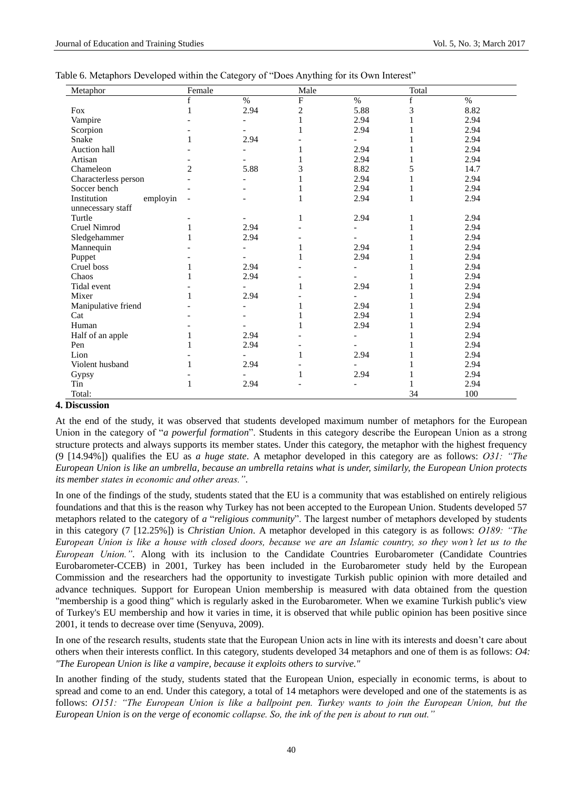| Metaphor                | Female         |      | Male |                          | Total |      |
|-------------------------|----------------|------|------|--------------------------|-------|------|
|                         | f              | $\%$ | F    | $\%$                     | f     | $\%$ |
| Fox                     | 1              | 2.94 | 2    | 5.88                     | 3     | 8.82 |
| Vampire                 |                |      |      | 2.94                     |       | 2.94 |
| Scorpion                |                |      |      | 2.94                     |       | 2.94 |
| Snake                   | 1              | 2.94 |      |                          |       | 2.94 |
| Auction hall            |                |      |      | 2.94                     |       | 2.94 |
| Artisan                 |                |      |      | 2.94                     | 1     | 2.94 |
| Chameleon               | $\overline{2}$ | 5.88 | 3    | 8.82                     | 5     | 14.7 |
| Characterless person    |                |      |      | 2.94                     |       | 2.94 |
| Soccer bench            |                |      |      | 2.94                     | 1     | 2.94 |
| Institution<br>employin |                |      |      | 2.94                     | 1     | 2.94 |
| unnecessary staff       |                |      |      |                          |       |      |
| Turtle                  |                |      | 1    | 2.94                     | 1     | 2.94 |
| Cruel Nimrod            |                | 2.94 |      | $\overline{a}$           |       | 2.94 |
| Sledgehammer            |                | 2.94 |      |                          |       | 2.94 |
| Mannequin               |                |      |      | 2.94                     |       | 2.94 |
| Puppet                  |                |      |      | 2.94                     |       | 2.94 |
| Cruel boss              | 1              | 2.94 |      | $\overline{\phantom{a}}$ |       | 2.94 |
| Chaos                   |                | 2.94 |      | $\overline{\phantom{a}}$ |       | 2.94 |
| Tidal event             |                |      |      | 2.94                     |       | 2.94 |
| Mixer                   |                | 2.94 |      |                          |       | 2.94 |
| Manipulative friend     |                |      |      | 2.94                     |       | 2.94 |
| Cat                     |                |      |      | 2.94                     | 1     | 2.94 |
| Human                   |                |      |      | 2.94                     |       | 2.94 |
| Half of an apple        | 1              | 2.94 |      | $\blacksquare$           |       | 2.94 |
| Pen                     | 1              | 2.94 |      | $\overline{a}$           |       | 2.94 |
| Lion                    |                |      |      | 2.94                     |       | 2.94 |
| Violent husband         |                | 2.94 |      |                          |       | 2.94 |
| Gypsy                   |                |      |      | 2.94                     |       | 2.94 |
| Tin                     | 1              | 2.94 |      |                          |       | 2.94 |
| Total:                  |                |      |      |                          | 34    | 100  |

# **4. Discussion**

At the end of the study, it was observed that students developed maximum number of metaphors for the European Union in the category of "*a powerful formation*". Students in this category describe the European Union as a strong structure protects and always supports its member states. Under this category, the metaphor with the highest frequency (9 [14.94%]) qualifies the EU as *a huge state*. A metaphor developed in this category are as follows: *O31: "The European Union is like an umbrella, because an umbrella retains what is under, similarly, the European Union protects its member states in economic and other areas."*.

In one of the findings of the study, students stated that the EU is a community that was established on entirely religious foundations and that this is the reason why Turkey has not been accepted to the European Union. Students developed 57 metaphors related to the category of *a* "*religious community*". The largest number of metaphors developed by students in this category (7 [12.25%]) is *Christian Union*. A metaphor developed in this category is as follows: *O189: "The European Union is like a house with closed doors, because we are an Islamic country, so they won't let us to the European Union."*. Along with its inclusion to the Candidate Countries Eurobarometer (Candidate Countries Eurobarometer-CCEB) in 2001, Turkey has been included in the Eurobarometer study held by the European Commission and the researchers had the opportunity to investigate Turkish public opinion with more detailed and advance techniques. Support for European Union membership is measured with data obtained from the question "membership is a good thing" which is regularly asked in the Eurobarometer. When we examine Turkish public's view of Turkey's EU membership and how it varies in time, it is observed that while public opinion has been positive since 2001, it tends to decrease over time (Senyuva, 2009).

In one of the research results, students state that the European Union acts in line with its interests and doesn"t care about others when their interests conflict. In this category, students developed 34 metaphors and one of them is as follows: *O4: "The European Union is like a vampire, because it exploits others to survive."*

In another finding of the study, students stated that the European Union, especially in economic terms, is about to spread and come to an end. Under this category, a total of 14 metaphors were developed and one of the statements is as follows: *O151: "The European Union is like a ballpoint pen. Turkey wants to join the European Union, but the European Union is on the verge of economic collapse. So, the ink of the pen is about to run out."*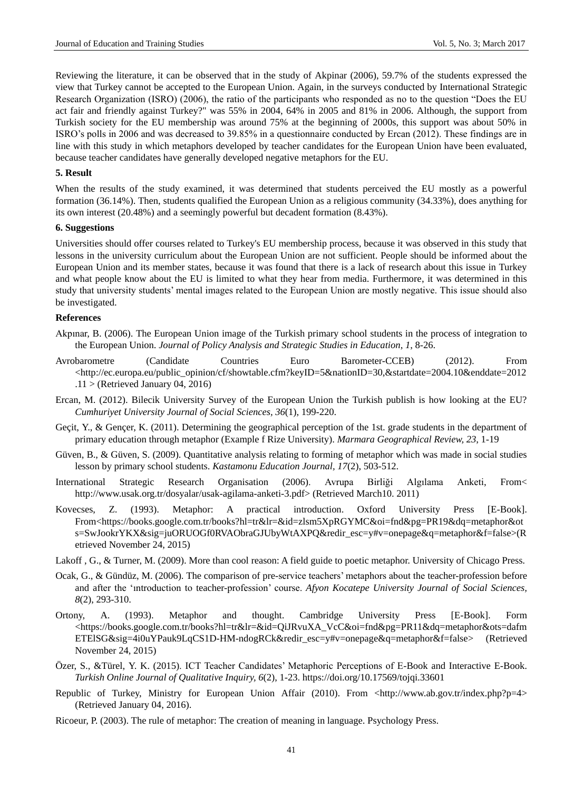Reviewing the literature, it can be observed that in the study of Akpinar (2006), 59.7% of the students expressed the view that Turkey cannot be accepted to the European Union. Again, in the surveys conducted by International Strategic Research Organization (ISRO) (2006), the ratio of the participants who responded as no to the question "Does the EU act fair and friendly against Turkey?" was 55% in 2004, 64% in 2005 and 81% in 2006. Although, the support from Turkish society for the EU membership was around 75% at the beginning of 2000s, this support was about 50% in ISRO"s polls in 2006 and was decreased to 39.85% in a questionnaire conducted by Ercan (2012). These findings are in line with this study in which metaphors developed by teacher candidates for the European Union have been evaluated, because teacher candidates have generally developed negative metaphors for the EU.

#### **5. Result**

When the results of the study examined, it was determined that students perceived the EU mostly as a powerful formation (36.14%). Then, students qualified the European Union as a religious community (34.33%), does anything for its own interest (20.48%) and a seemingly powerful but decadent formation (8.43%).

### **6. Suggestions**

Universities should offer courses related to Turkey's EU membership process, because it was observed in this study that lessons in the university curriculum about the European Union are not sufficient. People should be informed about the European Union and its member states, because it was found that there is a lack of research about this issue in Turkey and what people know about the EU is limited to what they hear from media. Furthermore, it was determined in this study that university students" mental images related to the European Union are mostly negative. This issue should also be investigated.

#### **References**

- Akpınar, B. (2006). The European Union image of the Turkish primary school students in the process of integration to the European Union. *Journal of Policy Analysis and Strategic Studies in Education*, *1*, 8-26.
- Avrobarometre (Candidate Countries Euro Barometer-CCEB) (2012). From <http://ec.europa.eu/public\_opinion/cf/showtable.cfm?keyID=5&nationID=30,&startdate=2004.10&enddate=2012  $.11$  > (Retrieved January 04, 2016)
- Ercan, M. (2012). Bilecik University Survey of the European Union the Turkish publish is how looking at the EU? *Cumhuriyet University Journal of Social Sciences, 36*(1), 199-220.
- Ge cit, Y., & Gen cer, K. (2011). Determining the geographical perception of the 1st. grade students in the department of primary education through metaphor (Example f Rize University). *Marmara Geographical Review, 23*, 1-19
- Güven, B., & Güven, S. (2009). Quantitative analysis relating to forming of metaphor which was made in social studies lesson by primary school students. *Kastamonu Education Journal, 17*(2), 503-512.
- International Strategic Research Organisation (2006). Avrupa Birliği Algılama Anketi, From< [http://www.usak.org.tr/dosyalar/usak-agilama-anketi-3.pdf>](http://www.usak.org.tr/dosyalar/usak-agilama-anketi-3.pdf) (Retrieved March10. 2011)
- Kovecses, Z. (1993). Metaphor: A practical introduction. Oxford University Press [E-Book]. From<https://books.google.com.tr/books?hl=tr&lr=&id=zlsm5XpRGYMC&oi=fnd&pg=PR19&dq=metaphor&ot s=SwJookrYKX&sig=juORUOGf0RVAObraGJUbyWtAXPQ&redir\_esc=y#v=onepage&q=metaphor&f=false>(R etrieved November 24, 2015)
- Lakoff , G., & Turner, M. (2009). More than cool reason: A field guide to poetic metaphor. University of Chicago Press.
- Ocak, G., & Gündüz, M. (2006). The comparison of pre-service teachers' metaphors about the teacher-profession before and after the "ıntroduction to teacher-profession" course. *Afyon Kocatepe University Journal of Social Sciences, 8*(2), 293-310.
- Ortony, A. (1993). Metaphor and thought. Cambridge University Press [E-Book]. Form <https://books.google.com.tr/books?hl=tr&lr=&id=QiJRvuXA\_VcC&oi=fnd&pg=PR11&dq=metaphor&ots=dafm ETElSG&sig=4i0uYPauk9LqCS1D-HM-ndogRCk&redir\_esc=y#v=onepage&q=metaphor&f=false> (Retrieved November 24, 2015)
- Özer, S., &Türel, Y. K. (2015). ICT Teacher Candidates" Metaphoric Perceptions of E-Book and Interactive E-Book. *Turkish Online Journal of Qualitative Inquiry, 6*(2), 1-23.<https://doi.org/10.17569/tojqi.33601>
- Republic of Turkey, Ministry for European Union Affair (2010). From <http://www.ab.gov.tr/index.php?p=4> (Retrieved January 04, 2016).
- Ricoeur, P. (2003). The rule of metaphor: The creation of meaning in language. Psychology Press.